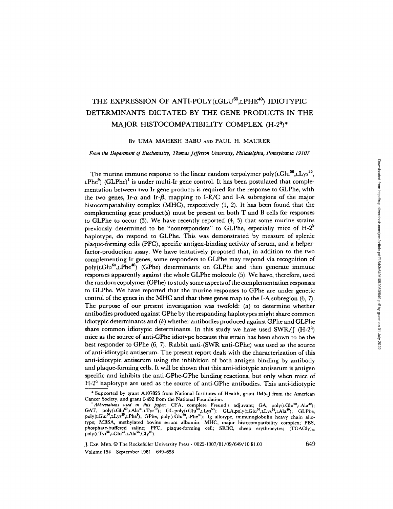# THE EXPRESSION OF ANTI-POLY(LGLU<sup>60</sup>,LPHE<sup>40</sup>) IDIOTYPIC DETERMINANTS DICTATED BY THE GENE PRODUCTS IN THE MAJOR HISTOCOMPATIBILITY COMPLEX (H-2<sup>q</sup>)\*

## BY UMA MAHESH BABU AND PAUL H. MAURER

*From the Department of Biochemistry, Thomas Jefferson University, Philadelphia, Pennsylvania 19107* 

The murine immune response to the linear random terpolymer poly( $\text{LGlu}^{56}$ , $\text{LLys}^{35}$ ,  $LPhe^{9}$  (GLPhe)<sup>1</sup> is under multi-Ir gene control. It has been postulated that complementation between two Ir gene products is required for the response to GLPhe, with the two genes, Ir- $\alpha$  and Ir- $\beta$ , mapping to I-E/C and I-A subregions of the major histocompatability complex (MHC), respectively (1, 2). It has been found that the complementing gene product(s) must be present on both  $T$  and  $B$  cells for responses to GLPhe to occur (3). We have recently reported (4, 5) that some murine strains previously determined to be "nonresponders" to GLPhe, especially mice of  $H-2^k$ haplotype, do respond to GLPhe. This was demonstrated by measure of splenic plaque-forming cells (PFC), specific antigen-binding activity of serum, and a helperfactor-production assay. We have tentatively proposed that, in addition to the two complementing Ir genes, some responders to GLPhe may respond via recognition of  $poly(LGlu^{60},LPhe^{40})$  (GPhe) determinants on GLPhe and then generate immune responses apparently against the whole GLPhe molecule (5). We have, therefore, used the random copolymer (GPhe) to study some aspects of the complementation responses to GLPhe. We have reported that the murine responses to GPhe are under genetic control of the genes in the MHC and that these genes map to the I-A subregion (6, 7). The purpose of our present investigation was twofold:  $(a)$  to determine whether antibodies produced against GPhe by the responding haplotypes might share common idiotypic determinants and (b) whether antibodies produced against GPhe and GLPhe share common idiotypic determinants. In this study we have used SWR/J (H-2<sup>q</sup>) mice as the source of anti-GPhe idiotype because this strain has been shown to be the best responder to GPhe (6, 7). Rabbit anti-(SWR anti-GPhe) was used as the source of anti-idiotypic antiserum. The present report deals with the characterization of this anti-idiotypic antiserum using the inhibition of both antigen binding by antibody and plaque-forming cells. It will be shown that this anti-idiotypic antiserum is antigen specific and inhibits the anti-GPhe-GPhe binding reactions, but only when mice of  $H-2<sup>q</sup>$  haplotype are used as the source of anti-GPhe antibodies. This anti-idiotypic

J. ExP. MI~D. © The Rockefeller University Press • 0022-1007/81/09/649/10 \$1.00 649 Volume 154 September 1981 649-658

<sup>\*</sup> Supported by grant A107825 from National Institutes of Health, grant IM5-J from the American Cancer Society, and grant 1-492 from the National Foundation.

<sup>&</sup>lt;sup>1</sup> Abbreviations used in this paper: CFA, complete Freund's adjuvant; GA, poly(LGlu<sup>60</sup>,LAla<sup>40</sup>);  $GAT$ , poly(LGlu<sup>60</sup>,LAla<sup>30</sup>,LTyr<sup>10</sup>);  $GL, poly(LGlu<sup>50</sup>, LLys<sup>50</sup>)$ ;  $GLA, poly(LGlu<sup>36</sup>, LLys<sup>24</sup>, LAla<sup>40</sup>)$ ;  $GLPhe,$ poly(LGlu<sup>56</sup>,LLys<sup>35</sup>,LPhe<sup>9</sup>); GPhe, poly(LGlu<sup>60</sup>,LPhe<sup>40</sup>); Ig allotype, immunoglobulin heavy chain allotype; MBSA, methylated bovine serum albumin; MHC, major histocompatibility complex; PBS, phosphate-buffered saline; PFC, plaque-forming cell; SRBC, sheep erythrocytes; (TGAGly)<sub>n,</sub> poly(LTyr<sup>25</sup>,LGlu<sup>25</sup>,LAla<sup>25</sup>,Gly<sup>25</sup>).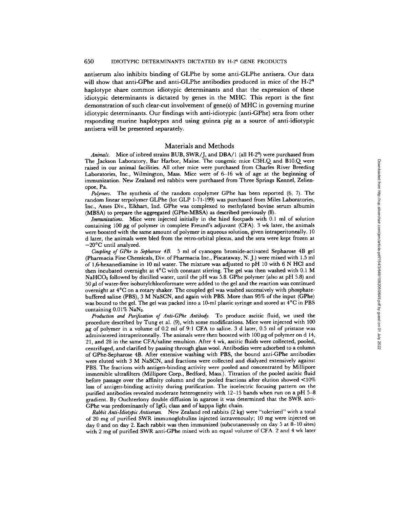antiserum also inhibits binding of GLPhe by some anti-GLPhe antisera. Our data will show that anti-GPhe and anti-GLPhe antibodies produced in mice of the H-2<sup>q</sup> haplotype share common idiotypic determinants and that the expression of these idiotypic determinants is dictated by genes in the MHC. This report is the first demonstration of such clear-cut involvement of gene(s) of MHC in governing murine idiotypic determinants. Our findings with anti-idiotypic (anti-GPhe) sera from other responding murine haplotypes and using guinea pig as a source of anti-idiotypic antisera will be presented separately.

#### Materials and Methods

*Animals.* Mice of inbred strains BUB, SWR/J, and DBA/1 (all H-2<sup>9</sup>) were purchased from The Jackson Laboratory, Bar Harbor, Maine. The congenic mice C3H.Q and B10.Q were raised in our animal facilities. All other mice were purchased from Charles River Breeding Laboratories, Inc., Wilmington, Mass. Mice were of 6-16 wk of age at the beginning of immunization. New Zealand red rabbits were purchased from Three Springs Kennel, Zelienopoe, Pa.

*Polymers.* The synthesis of the random copolymer GPhe has been reported (6, 7). The random linear terpolymer GLPhe (lot GLP 1-71-199) was purchased from Miles Laboratories, Inc., Ames Div., Elkhart, Ind. GPhe was complexed to methylated bovine serum albumin (MBSA) to prepare the aggregated (GPhe-MBSA) as described previously (8).

*Immunizations.* Mice were injected initially in the hind footpads with 0.1 ml of solution containing 100  $\mu$ g of polymer in complete Freund's adjuvant (CFA). 3 wk later, the animals were boosted with the same amount of polymer in aqueous solution, given intraperitoneally. 10 d later, the animals were bled from the retro-orbital plexus, and the sera were kept frozen at -20°C until analyzed.

*Coupling of GPhe to Sepharose 4B.* 5 ml of cyanogen bromide-activated Sepharose 4B gel (Pharmacia Fine Chemicals, Div. of Pharmacia Inc., Piscataway, N. J.) were mixed with 1.5 ml of 1,6-hexanediamine in 10 ml water. The mixture was adjusted to pH 10 with 6 N HC1 and then incubated overnight at 4°C with constant stirring. The gel was then washed with 0.1 M NaHCO<sub>3</sub> followed by distilled water, until the pH was 5.8. GPhe polymer (also at pH 5.8) and  $50~\mu$ l of water-free isobutylchloroformate were added to the gel and the reaction was continued overnight at 4°C on a rotary shaker. The coupled gel was washed successively with phosphatebuffered saline (PBS), 3 M NaSCN, and again with PBS. More than 95% of the input (GPhe) was bound to the gel. The gel was packed into a 10-ml plastic syringe and stored at 4°C in PBS containing 0.01% NaNa.

*Production and Purification of Anti-GPhe Antibody.* To produce ascitic fluid, we used the procedure described by Tung et al. (9), with some modifications. Mice were injected with 100  $\mu$ g of polymer in a volume of 0.2 ml of 9:1 CFA to saline. 3 d later, 0.5 ml of pristane was administered intraperitoneally. The animals were then boosted with  $100~\mu$ g of polymer on d 14, 21, and 28 in the same CFA/saline emulsion. After 4 wk, ascitic fluids were collected, pooled, centrifuged, and clarified by passing through glass wool. Antibodies were adsorbed to a column of GPhe-Sepharose 4B. After extensive washing with PBS, the bound anti-GPhe antibodies were eluted with 3 M NaSCN, and fractions were collected and dialyzed extensively against PBS. The fractions with antigen-binding activity were pooled and concentrated by Millipore immersible ultrafilters (Millipore Corp., Bedford, Mass.). Titration of the pooled ascitic fluid before passage over the affinity column and the pooled fractions after elution showed  $\leq 10\%$ loss of antigen-binding activity during purification. The isoelectric focusing pattern on the purified antibodies revealed moderate heterogeneity with 12-15 bands when run on a pH 5-8 gradient. By Ouchterlony double diffusion in agarose it was determined that the SWR anti-GPhe was predominantly of  $IgG<sub>1</sub>$  class and of kappa light chain.

*Rabbit Anti-Idiotypic Antiserum.* New Zealand red rabbits (2 kg) were "tolerized" with a total of 20 mg of purified SWR immunoglobulins injected intravenously; 10 mg were injected on day 0 and on day 2. Each rabbit was then immunized (subcutaneously on day 5 at 8-10 sites) with 2 mg of purified SWR anti-GPhe mixed with an equal volume of CFA. 2 and 4 wk later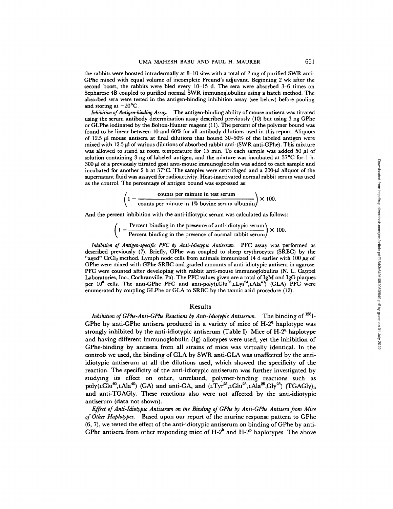the rabbits were boosted intradermally at 8-10 sites with a total of 2 mg of purified SWR anti-GPhe mixed with equal volume of incomplete Freund's adjuvant. Beginning 2 wk after the second boost, the rabbits were bled every 10-15 d. The sera were absorbed 3-6 times on Sepharose 4B coupled to purified normal SWR immunoglobulins using a batch method. The absorbed sera were tested in the antigen-binding inhibition assay (see below) before pooling and storing at  $-20^{\circ}$ C.

*Inhibition of Antigen-binding Assay.* The antigen-binding ability of mouse antisera was titrated using the serum antibody determination assay described previously (10) but using 3 ng GPhe or GLPhe iodinated by the Bolton-Hunter reagent  $(11)$ . The percent of the polymer bound was found to be linear between 10 and 60% for all antibody dilutions used in this report. Aliquots of 12.5  $\mu$ l mouse antisera at final dilutions that bound 30-50% of the labeled antigen were mixed with  $12.5 \mu$  of various dilutions of absorbed rabbit anti-(SWR anti-GPhe). This mixture was allowed to stand at room temperature for 15 min. To each sample was added 50  $\mu$ l of solution containing 3 ng of labeled antigen, and the mixture was incubated at 37°C for 1 h.  $300~\mu$  of a previously titrated goat anti-mouse immunoglobulin was added to each sample and incubated for another 2 h at  $37^{\circ}$ C. The samples were centrifuged and a 200- $\mu$ l aliquot of the supernatant fluid was assayed for radioactivity. Heat-inactivated normal rabbit serum was used as the control. The percentage of antigen bound was expressed as:

$$
\left(1 - \frac{\text{counts per minute in test serum}}{\text{counts per minute in 1% bovine serum albumin}}\right) \times 100.
$$

And the percent inhibition with the anti-idiotypic serum was calculated as follows:

$$
\left(1 - \frac{\text{Percent binding in the presence of anti-idiotypic serum}}{\text{Percent binding in the presence of normal rabbit serum}}\right) \times 100.
$$

*Inhibition of Antigen-specific PFC by Anti-Idiotypic Antiserum.* PFC assay was performed as described previously (7). Briefly, GPhe was coupled to sheep erythrocytes (SRBC) by the "aged" CrCl<sub>3</sub> method. Lymph node cells from animals immunized 14 d earlier with 100  $\mu$ g of GPhe were mixed with GPhe-SRBC and graded amounts of anti-idiotypic antisera in agarose. PFC were counted after developing with rabbit anti-mouse immunoglobulins (N. L. Cappel Laboratories, Inc., Coehranville, Pa). The PFC values given are a total of IgM and IgG plaques per 10<sup>6</sup> cells. The anti-GPhe PFC and anti-poly(LGlu<sup>36</sup>,LLys<sup>24</sup>,LAla<sup>40</sup>) (GLA) PFC were enumerated by coupling GLPhe or GLA to SRBC by the tannic acid procedure (12).

### Results

*Inhibition of GPhe-Anti-GPhe Reactions by Anti-Idiotypic Antiserum.* The binding of <sup>125</sup>I-GPhe by anti-GPhe antisera produced in a variety of mice of  $H-2<sup>q</sup>$  haplotype was strongly inhibited by the anti-idiotypic antiserum (Table I). Mice of  $H-2<sup>q</sup>$  haplotype and having different immunoglobulin (Ig) allotypes were used, yet the inhibition of GPhe-binding by antisera from all strains of mice was virtually identical. In the controls we used, the binding of GLA by SWR anti-GLA was unaffected by the antiidiotypic antiserum at all the dilutions used, which showed the specificity of the reaction. The specificity of the anti-idiotypic antiserum was further investigated by studying its effect on other, unrelated, polymer-binding reactions such as poly(LGlu<sup>60</sup>,LAla<sup>40</sup>) (GA) and anti-GA, and (LTyr<sup>25</sup>,LGlu<sup>25</sup>,LAla<sup>25</sup>,Gly<sup>25</sup>) (TGAGly)<sub>n</sub> and anti-TGAGly. These reactions also were not affected by the anti-idiotypic antiserum (data not shown).

*Effect of Anti-Idiotypic Antiserum on the Binding of GPhe by Anti-GPhe Antisera from Mice of Other Haplotypes.* Based upon our report of the murine response pattern to GPhe (6, 7), we tested the effect of the anti-idiotypic antiserum on binding of GPhe by anti-GPhe antisera from other responding mice of  $H-2^k$  and  $H-2^p$  haplotypes. The above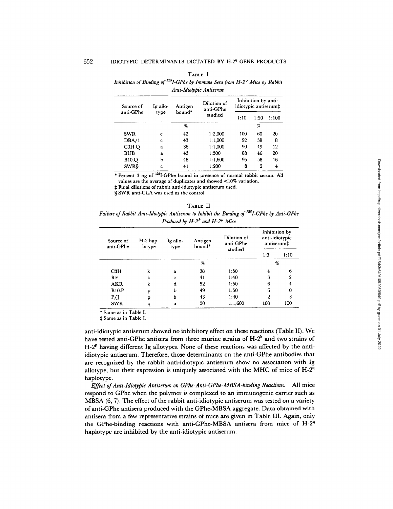| unnosson of Dunang of<br>$1 - 01$ in by animally being from $11 - 2$ arasec by allows:<br>Anti-Idiotypic Antiserum |          |                   |                          |      |                                                                                                              |       |  |  |
|--------------------------------------------------------------------------------------------------------------------|----------|-------------------|--------------------------|------|--------------------------------------------------------------------------------------------------------------|-------|--|--|
| Source of<br>anti-GPhe                                                                                             | Ig allo- | Antigen<br>bound* | Dilution of<br>anti-GPhe |      |                                                                                                              |       |  |  |
|                                                                                                                    | type     |                   | studied                  | 1:10 | Inhibition by anti-<br>idiotypic antiserum‡<br>1:50<br>$\%$<br>100<br>60<br>92<br>38<br>90<br>49<br>88<br>46 | 1:100 |  |  |
|                                                                                                                    |          | $\%$              |                          |      |                                                                                                              |       |  |  |
| <b>SWR</b>                                                                                                         | c        | 42                | 1:2,000                  |      |                                                                                                              | 20    |  |  |
| DBA/1                                                                                                              | c        | 43                | 1:1,000                  |      |                                                                                                              | 8     |  |  |
| C3H.Q                                                                                                              | a        | 36                | 1:1,000                  |      |                                                                                                              | 12    |  |  |
| <b>BUB</b>                                                                                                         | a        | 43                | 1:500                    |      |                                                                                                              | 20    |  |  |
| <b>B10.Q</b>                                                                                                       | b        | 48                | 1:1,600                  | 95   | 58                                                                                                           | 16    |  |  |
| <b>SWRS</b>                                                                                                        | c        | 41                | 1:200                    | 8    | 2                                                                                                            | 4     |  |  |

| ш<br>æ<br>ч. |  |
|--------------|--|
|--------------|--|

*Inhibition of Binding of <sup>125</sup>I-GPhe by Immune Sera from H-2<sup>9</sup> Mice by Rabbit* 

\* Percent 3 ng of <sup>125</sup>I-GPhe bound in presence of normal rabbit serum. All

values are the average of duplicates and showed <10% variation.

:1: Final dilutions of rabbit anti-idiotypic antiserum used.

§ SWR anti-GLA was used as the control.

TABLE II *Failure of Rabbit Anti-Idiotypic Antiserum to Inhibit the Binding of <sup>125</sup>I-GPhe by Anti-GPhe Produced by H-2<sup>k</sup> and H-2<sup>p</sup> Mice* 

| Source of<br>anti-GPhe | $H-2$ hap-<br>lotype | Ig allo-<br>type | Antigen<br>bound* | Dilution of<br>anti-GPhe<br>studied | Inhibition by<br>anti-idiotypic<br>antiserum‡ |                |
|------------------------|----------------------|------------------|-------------------|-------------------------------------|-----------------------------------------------|----------------|
|                        |                      |                  |                   |                                     | 1:3                                           | 1:10           |
|                        |                      |                  | %                 |                                     |                                               | %              |
| C3H                    | k                    | a                | 38                | 1:50                                | 4                                             | 6              |
| RF                     | k                    | C                | 41                | 1:40                                | 3                                             | $\overline{2}$ |
| <b>AKR</b>             | k                    | d                | 52                | 1:50                                | 6                                             | 4              |
| <b>B10.P</b>           | р                    | b                | 49                | 1:50                                | 6                                             | 0              |
| P/I                    | p                    | h                | 43                | 1:40                                | 2                                             | 3              |
| <b>SWR</b>             | q                    | a                | 50                | 1:1,600                             | 100                                           | 100            |

\* Same as in Table I.

Same as in Table I.

anti-idiotypic antiserum showed no inhibitory effect on these reactions (Table II). We have tested anti-GPhe antisera from three murine strains of  $H-2<sup>k</sup>$  and two strains of H-2<sup>p</sup> having different Ig allotypes. None of these reactions was affected by the antiidiotypic antiserum. Therefore, those determinants on the anti-GPhe antibodies that are recognized by the rabbit anti-idiotypic antiserum show no association with Ig allotype, but their expression is uniquely associated with the MHC of mice of  $H-2<sup>q</sup>$ haplotype.

*Effect of Anti-ldiotypic Antiserum on GPhe-Anti-GPhe-MBSA-binding Reactions.* All mice respond to GPhe when the polymer is complexed to an immunogenic carrier such as MBSA (6, 7). The effect of the rabbit anti-idiotypic antiserum was tested on a variety of anti-GPhe antisera produced with the GPhe-MBSA aggregate. Data obtained with antisera from a few representative strains of mice are given in Table III. Again, only the GPhe-binding reactions with anti-GPhe-MBSA antisera from mice of  $H-2<sup>q</sup>$ haplotype are inhibited by the anti-idiotypic antiserum.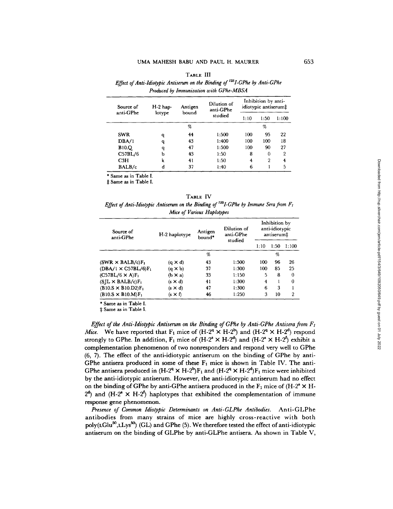|                        |                      |                  | Effect of Anti-Idiotypic Antiserum on the Binding of <sup>125</sup> I-GPhe by Anti-GPhe<br>Produced by Immunization with GPhe-MBSA |                                                             |       |  |
|------------------------|----------------------|------------------|------------------------------------------------------------------------------------------------------------------------------------|-------------------------------------------------------------|-------|--|
| Source of<br>anti-GPhe | $H-2$ hap-<br>lotype | Antigen<br>bound | Dilution of<br>anti-GPhe                                                                                                           |                                                             |       |  |
|                        |                      |                  | studied                                                                                                                            | Inhibition by anti-<br>idiotypic antiserum‡<br>1:50<br>1:10 | 1:100 |  |
|                        |                      | %                |                                                                                                                                    |                                                             |       |  |

SWR q 44 1:500 100 95 22 DBA/1 q 43 1:400 100 100 18 BI0.Q q 47 1:500 100 90 27 C57BL/6 b 43 1:50 8 0 2<br>C3H k 41 1:50 4 2 4 C3H k 41 1:50 4 2 4 BALB/e d 37 1:40 6 1 5

**TABLE** III

| * Same as in Table I. |  |  |  |
|-----------------------|--|--|--|

 $±$  Same as in Table I.

|--|

*Effect of Anti-Idiotypic Antiserum on the Binding of*  $^{125}$ *I-GPhe by Immune Sera from F<sub>1</sub> Mice of Various Haplotypes* 

| Source of<br>anti-GPhe              | H-2 haplotype  | Antigen<br>bound* | Dilution of<br>anti-GPhe<br>studied |      | Inhibition by<br>anti-idiotypic<br>antiserum‡ |          |
|-------------------------------------|----------------|-------------------|-------------------------------------|------|-----------------------------------------------|----------|
|                                     |                |                   |                                     | 1:10 | 1:50                                          | 1:100    |
|                                     |                | %                 |                                     |      | %                                             |          |
| (SWR $\times$ BALB/c)F <sub>1</sub> | $(q \times d)$ | 43                | 1:500                               | 100  | 96                                            | 26       |
| $(DBA/1 \times C57BL/6)F_1$         | $(a \times b)$ | 37                | 1:300                               | 100  | 85                                            | 25       |
| $(C57BL/6 \times A)F_1$             | $(b \times a)$ | 33                | 1:150                               | 5    | 8                                             | $\bf{0}$ |
| $(SIL \times BALB/c)F_1$            | $(s \times d)$ | 41                | 1:300                               | 4    |                                               | 0        |
| $(B10.S \times B10.D2)F_1$          | $(s \times d)$ | 47                | 1:300                               | 6    | 3                                             |          |
| $(B10.S \times B10.M)F_1$           | (s × f)        | 46                | 1:250                               | 3    | 10                                            | 2        |

\* Same as in Table I.

 $±$  Same as in Table I.

*Effect of the Anti-Idiotypic Antiserum on the Binding of GPhe by Anti-GPhe Antisera from F1 Mice.* We have reported that  $F_1$  mice of  $(H-2^q \times H-2^b)$  and  $(H-2^q \times H-2^d)$  respond strongly to GPhe. In addition,  $F_1$  mice of  $(H-2^8 \times H-2^4)$  and  $(H-2^8 \times H-2^6)$  exhibit a complementation phenomenon of two nonresponders and respond very well to GPhe (6, 7). The effect of the anti-idiotypic antiserum on the binding of GPhe by anti-GPhe antisera produced in some of these  $F_1$  mice is shown in Table IV. The anti-GPhe antisera produced in  $(H-2^q \times H-2^b)F_1$  and  $(H-2^q \times H-2^d)F_1$  mice were inhibited by the anti-idiotypic antiserum. However, the anti-idiotypic antiserum had no effect on the binding of GPhe by anti-GPhe antisera produced in the  $F_1$  mice of  $(H-2^s \times H-1)$  $2<sup>d</sup>$ ) and (H-2<sup>8</sup>  $\times$  H-2<sup>6</sup>) haplotypes that exhibited the complementation of immune response gene phenomenon.

*Presence of Common Idiotypic Determinants on Anti-GLPhe Antibodies.* Anti-GLPhe antibodies from many strains of mice are highly cross-reactive with both  $poly(LGlu<sup>50</sup>, LLys<sup>50</sup>)$  (GL) and GPhe (5). We therefore tested the effect of anti-idiotypic antiserum on the binding of GLPhe by anti-GLPhe antisera. As shown in Table  $V$ ,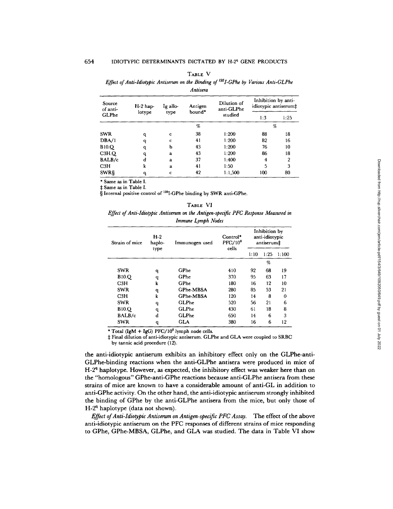|                    |            |          | Anusera           |                           |                                             |      |
|--------------------|------------|----------|-------------------|---------------------------|---------------------------------------------|------|
| Source<br>of anti- | $H-2$ hap- | Ig allo- | Antigen<br>bound* | Dilution of<br>anti-GLPhe | Inhibition by anti-<br>idiotypic antiserum‡ |      |
| GLPhe              | lotype     | type     |                   | studied                   | 1:3                                         | 1:25 |
|                    |            |          | %                 |                           | %                                           |      |
| SWR                | q          | c        | 38                | 1:200                     | 88                                          | 18   |
| DBA/1              | q          | c        | 41                | 1:200                     | 82                                          | 16   |
| <b>B10.Q</b>       | q          | b        | 43                | 1:200                     | 76                                          | 10   |
| C3H.Q              | q          | a        | 43                | 1:200                     | 86                                          | 18   |
| BALB/c             | d          | a        | 37                | 1:400                     | 4                                           | 2    |
| C3H                | k          | a        | 41                | 1:50                      | 5                                           | 3    |
| SWR§               | q          | c        | 42                | 1:1,500                   | 100                                         | 80   |

TABLE V

*Effect of Anti-Idiotypic Antiserum on the Binding of <sup>125</sup>I-GPhe by Various Anti-GLPhe* 

*Antisera* 

\* Same as in Table I.

Same as in Table I.

§ Internal positive control of 125I-GPhe binding by SWR anti-GPhe.

#### TABLE VI

*Effect of Anti-Idiotypic Antiserum on the Antigen-specific PFC Response Measured in Immune Lymph Nodes* 

| Strain of mice | $H-2$<br>haplo- | Immunogen used | $Control*$<br>$PFC/10^6$ | Inhibition by<br>anti-idiotypic<br>antiserum‡ |      |       |
|----------------|-----------------|----------------|--------------------------|-----------------------------------------------|------|-------|
|                | type            |                | cells                    | 1:10                                          | 1:25 | 1:100 |
|                |                 |                |                          |                                               | %    |       |
| <b>SWR</b>     | q               | GPhe           | 410                      | 92                                            | 68   | 19    |
| <b>B10.Q</b>   | q               | GPhe           | 370                      | 95                                            | 63   | 17    |
| C3H            | k               | GPhe           | 180                      | 16                                            | 12   | 10    |
| <b>SWR</b>     | q               | GPhe-MBSA      | 280                      | 85                                            | 53   | 21    |
| C3H            | k               | GPhe-MBSA      | 120                      | 14                                            | 8    | 0     |
| <b>SWR</b>     | q               | <b>GLPhe</b>   | 520                      | 56                                            | 21   | 6     |
| <b>B10.Q</b>   | q               | GLPhe          | 430                      | 61                                            | 18   | 8     |
| BALB/c         | d               | GLPhe          | 650                      | 14                                            | 6    | 3     |
| <b>SWR</b>     | q               | GLA            | 380                      | 16                                            | 6    | 12    |

\* Total  $(IgM + IgG)$  PFC/10<sup>6</sup> lymph node cells.

1: Final dilution of anti-idiotypic antiserum. GLPhe and GLA were coupled to SRBC

by tannic acid procedure (12).

the anti-idiotypic antiserum exhibits an inhibitory effect only on the GLPhe-anti-GLPhe-binding reactions when the anti-GLPhe antisera were produced in mice of  $H-2<sup>q</sup>$  haplotype. However, as expected, the inhibitory effect was weaker here than on the "homologous" GPhe-anti-GPhe reactions because anti-GLPhe antisera from these strains of mice are known to have a considerable amount of anti-GL in addition to anti-GPhe activity. On the other hand, the anti-idiotypic antiserum strongly inhibited the binding of GPhe by the anti-GLPhe antisera from the mice, but only those of  $H-2<sup>q</sup>$  haplotype (data not shown).

*Effect of Anti-Idiotypic Antiserum on Antigen-specific PFC Assay.* The effect of the above anti-idiotypic antiserum on the PFC responses of different strains of mice responding to GPhe, GPhe-MBSA, GLPhe, and GLA was studied. The data in Table VI show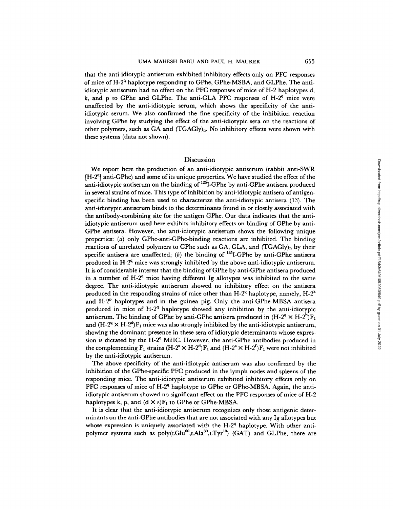that the anti-idiotypic antiserum exhibited inhibitory effects only on PFC responses of mice of H-2<sup>q</sup> haplotype responding to GPhe, GPhe-MSBA, and GLPhe. The antiidiotypic antiserum had no effect on the PFC responses of mice of H-2 haplotypes d, k, and p to GPhe and GLPhe. The anti-GLA PFC responses of  $H-2^q$  mice were unaffected by the anti-idiotypic serum, which shows the specificity of the antiidiotypie serum. We also confirmed the fine specificity of the inhibition reaction involving GPhe by studying the effect of the anti-idiotypic sera on the reactions of other polymers, such as GA and (TGAGIy)n. No inhibitory effects were shown with these systems (data not shown).

# Discussion

We report here the production of an anti-idiotypic antiserum (rabbit anti-SWR [H-2<sup>q</sup>] anti-GPhe) and some of its unique properties. We have studied the effect of the anti-idiotypic antiserum on the binding of  $^{125}$ I-GPhe by anti-GPhe antisera produced in several strains of mice. This type of inhibition by anti-idiotypic antisera of antigenspecific binding has been used to characterize the anti-idiotypic antisera (13). The anti-idiotypic antiserum binds to the determinants found in or closely associated with the antibody-combining site for the antigen GPhe. Our data indicates that the antiidiotypic antiserum used here exhibits inhibitory effects on binding of GPhe by anti-GPhe antisera. However, the anti-idiotypic antiserum shows the following unique properties: (a) only GPhe-anti-GPhe-binding reactions are inhibited. The binding reactions of unrelated polymers to GPhe such as GA, GLA, and (TGAGly)n by their specific antisera are unaffected; (b) the binding of  $^{125}$ I-GPhe by anti-GPhe antisera produced in  $H-2<sup>q</sup>$  mice was strongly inhibited by the above anti-idiotypic antiserum. It is of considerable interest that the binding of GPhe by anti-GPhe antisera produced in a number of  $H<sup>24</sup>$  mice having different Ig allotypes was inhibited to the same degree. The anti-idiotypic antiserum showed no inhibitory effect on the antisera produced in the responding strains of mice other than  $H-2^q$  haplotype, namely,  $H-2^k$ and  $H-2^p$  haplotypes and in the guinea pig. Only the anti-GPhe-MBSA antisera produced in mice of  $H-2^q$  haplotype showed any inhibition by the anti-idiotypic antiserum. The binding of GPhe by anti-GPhe antisera produced in  $(H-2^q \times H-2^p)F_1$ and  $(H-2^q \times H-2^q)F_1$  mice was also strongly inhibited by the anti-idiotypic antiserum, showing the dominant presence in these sera of idiotypic determinants whose expression is dictated by the H-2 $\rm{q}$  MHC. However, the anti-GPhe antibodies produced in the complementing  $F_1$  strains  $(H-2^8 \times H-2^d)F_1$  and  $(H-2^8 \times H-2^f)F_1$  were not inhibited by the anti-idiotypic antiserum.

The above specificity of the anti-idiotypic antiserum was also confirmed by the inhibition of the GPhe-specific PFC produced in the lymph nodes and spleens of the responding mice. The anti-idiotypic antiserum exhibited inhibitory effects only on PFC responses of mice of  $H-2<sup>q</sup>$  haplotype to GPhe or GPhe-MBSA. Again, the antiidiotypic antiserum showed no significant effect on the PFC responses of mice of H-2 haplotypes k, p, and  $(d \times s)F_1$  to GPhe or GPhe-MBSA.

It is clear that the anti-idiotypic antiserum recognizes only those antigenic determinants on the anti-GPhe antibodies that are not associated with any Ig allotypes but whose expression is uniquely associated with the  $H-2<sup>q</sup>$  haplotype. With other antipolymer systems such as  $poly(LGlu^{60},LAla^{30},LTyr^{10})$  (GAT) and GLPhe, there are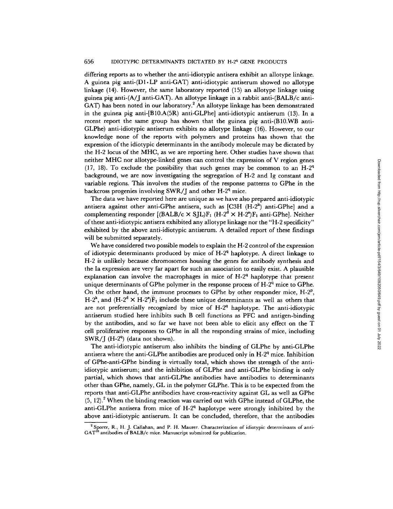differing reports as to whether the anti-idiotypic antisera exhibit an allotype linkage. A guinea pig anti- $(D1 \cdot LP$  anti-GAT) anti-idiotypic antiserum showed no allotype linkage (14). However, the same laboratory reported (15) an allotype linkage using guinea pig anti-(A/J anti-GAT). An allotype linkage in a rabbit anti-(BALB/c anti-GAT) has been noted in our laboratory.<sup>2</sup> An allotype linkage has been demonstrated in the guinea pig anti-[B10.A(SR) anti-GLPhe] anti-idiotypic antiserum (13). In a recent report the same group has shown that the guinea pig anti-(B10.WB anti-GLPhe) anti-idiotypic antiserum exhibits no allotype linkage (16). However, to our knowledge none of the reports with polymers and proteins has shown that the expression of the idiotypic determinants in the antibody molecule may be dictated by the H-2 locus of the MHC, as we are reporting here. Other studies have shown that neither MHC nor allotype-linked genes can control the expression of V region genes (17, 18). To exclude the possibility that such genes may be common to an  $H-2^q$ background, we are now investigating the segregation of H-2 and Ig constant and variable regions. This involves the studies of the response patterns to GPhe in the backcross progenies involving SWR/J and other  $H-2<sup>q</sup>$  mice.

The data we have reported here are unique as we have also prepared anti-idiotypic antisera against other anti-GPhe antisera, such as  $[C3H (H-2<sup>k</sup>)$  anti-GPhe] and a complementing responder  $[(BALB/c × SIL)F<sub>1</sub> (H-2<sup>d</sup> × H-2<sup>e</sup>)F<sub>1</sub> (anti-GPhe].$  Neither of these anti-idiotypic antisera exhibited any allotype linkage nor the "H-2 specificity" exhibited by the above anti-idiotypic antiserum. A detailed report of these findings will be submitted separately.

We have considered two possible models to explain the H-2 control of the expression of idiotypic determinants produced by mice of  $H-2<sup>q</sup>$  haplotype. A direct linkage to H-2 is unlikely because chromosomes housing the genes for antibody synthesis and the Ia expression are very far apart for such an association to easily exist. A plausible explanation can involve the macrophages in mice of  $H-2<sup>q</sup>$  haplotype that present unique determinants of GPhe polymer in the response process of  $H-2<sup>q</sup>$  mice to GPhe. On the other hand, the immune processes to GPhe by other responder mice,  $H-2^p$ , H-2<sup>k</sup>, and (H-2<sup>d</sup>  $\times$  H-2<sup>8</sup>) $\overline{F}_1$  include these unique determinants as well as others that are not preferentially recognized by mice of  $H-2<sup>q</sup>$  haplotype. The anti-idiotypic antiserum studied here inhibits such B cell functions as PFC and antigen-binding by the antibodies, and so far we have not been able to elicit any effect on the T cell proliferative responses to GPhe in all the responding strains of mice, including SWR/J  $(H-2^q)$  (data not shown).

The anti-idiotypic antiserum also inhibits the binding of GLPhe by anti-GLPhe antisera where the anti-GLPhe antibodies are produced only in  $H-2<sup>q</sup>$  mice. Inhibition of GPhe-anti-GPhe binding is virtually total, which shows the strength of the antiidiotypic antiserum; and the inhibition of GLPhe and anti-GLPhe binding is only partial, which shows that anti-GLPhe antibodies have antibodies to determinants other than GPhe, namely, GL in the polymer GLPhe. This is to be expected from the reports that anti-GLPhe antibodies have cross-reactivity against GL as well as GPhe  $(5, 12)$ .<sup>2</sup> When the binding reaction was carried out with GPhe instead of GLPhe, the anti-GLPhe antisera from mice of  $H-2<sup>q</sup>$  haplotype were strongly inhibited by the above anti-idiotypic antiserum. It can be concluded, therefore, that the antibodies

<sup>2</sup> Sporer, R., H. J. Callahan, and P. H. Maurer. Characterization of idiotypic determinants of anti- $GAT^{10}$  antibodies of BALB/c mice. Manuscript submitted for publication.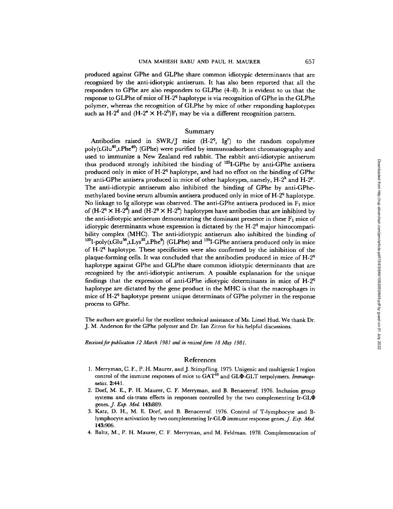produced against GPhe and GLPhe share common idiotypic determinants that are recognized by the anti-idiotypic antiserum. It has also been reported that all the responders to GPhe are also responders to GLPhe (4-8). It is evident to us that the response to GLPhe of mice of  $H-2<sup>q</sup>$  haplotype is via recognition of GPhe in the GLPhe polymer, whereas the recognition of GLPhe by mice of other responding haplotypes such as  $H-2^d$  and  $(H-2^a \times H-2^b)F_1$  may be via a different recognition pattern.

# Summary

Antibodies raised in SWR/J mice  $(H-2^q, Ig^c)$  to the random copolymer  $poly(LGlu^{60},LPhe^{40})$  (GPhe) were purified by immunoadsorbent chromatography and used to immunize a New Zealand red rabbit. The rabbit anti-idiotypic antiserum thus produced strongly inhibited the binding of  $^{125}$ I-GPhe by anti-GPhe antisera produced only in mice of  $H-2<sup>q</sup>$  haplotype, and had no effect on the binding of GPhe by anti-GPhe antisera produced in mice of other haplotypes, namely,  $H-2^k$  and  $H-2^p$ . The anti-idiotypic antiserum also inhibited the binding of GPhe by anti-GPhemethylated bovine serum albumin antisera produced only in mice of  $H-2<sup>q</sup>$  haplotype. No linkage to Ig allotype was observed. The anti-GPhe antisera produced in  $F_1$  mice of  $(H-2^q \times H-2^d)$  and  $(H-2^q \times H-2^b)$  haplotypes have antibodies that are inhibited by the anti-idiotypic antiserum demonstrating the dominant presence in these  $F_1$  mice of idiotypic determinants whose expression is dictated by the  $H-2<sup>q</sup>$  major histocompatibility complex (MHC). The anti-idiotypic antiserum also inhibited the binding of  $^{125}I-poly(LGlu^{56},LLys^{35},LPhe^{9})$  (GLPhe) and  $^{125}I$ -GPhe antisera produced only in mice of  $H-2<sup>q</sup>$  haplotype. These specificities were also confirmed by the inhibition of the plaque-forming cells. It was concluded that the antibodies produced in mice of  $H-2<sup>q</sup>$ haplotype against GPhe and GLPhe share common idiotypic determinants that are recognized by the anti-idiotypic antiserum. A possible explanation for the unique findings that the expression of anti-GPhe idiotypic determinants in mice of  $H-2<sup>q</sup>$ haplotype are dictated by the gene product in the MHC is that the macrophages in mice of H-2<sup>q</sup> haplotype present unique determinats of GPhe polymer in the response process to GPhe.

The authors are grateful for the excellent technical assistance of Ms. Liesel Hud. We thank Dr. J. M. Anderson for the GPhe polymer and Dr. Ian Zitron for his helpful discussions.

*Received for publication 12 March 1981 and in revised form 18 May 1981.* 

## References

- 1. Merryman, C. F., P. H. Maurer, and J. Stimpfling. 1975. Unigenic and multigenic I region control of the immune responses of mice to GAT<sup>10</sup> and GL $\Phi$ -GLT terpolymers. *Immunogenetics.* 2:441.
- 2. Dorf, M. E., P. H. Maurer, C. F. Merryman, and B. Benacerraf. 1976. Inclusion group systems and cis-trans effects in responses controlled by the two complementing Ir-GL $\Phi$ genes. *J. Exp. Med.* 143:889.
- 3. Katz, D. H., M. E. Dorf, and B. Benacerraf. 1976. Control of T-lymphocyte and Blymphocyte activation by two complementing Ir-GL $\Phi$  immune response genes. *J. Exp. Med.* 143:906.
- 4. Baltz, M., P. H. Maurer, C. F. Merryman, and M. Feldman. 1978. Complementation of